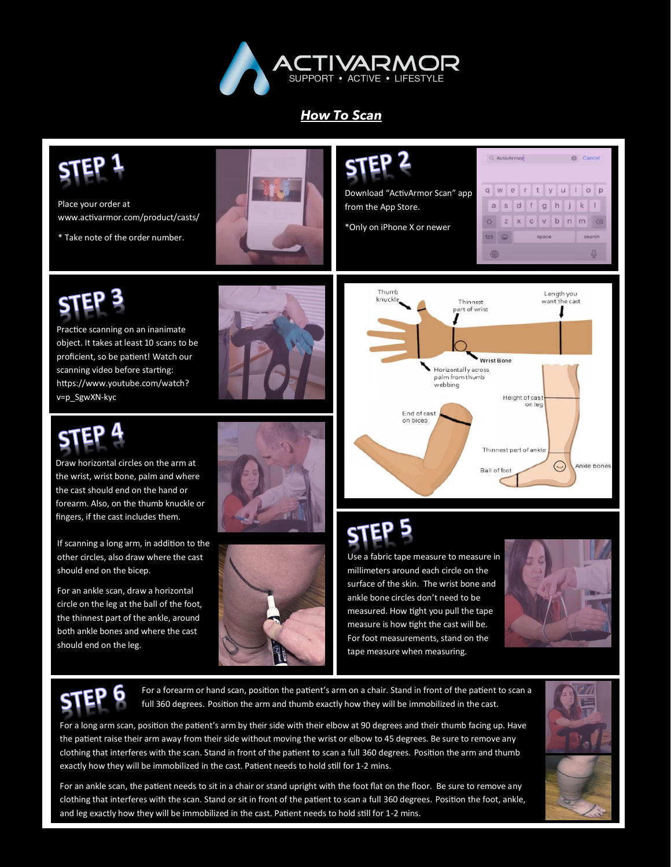

## *How To Scan*



Use a fabric tape measure to measure in millimeters around each circle on the surface of the skin. The wrist bone and ankle bone circles don't need to be measured. How tight you pull the tape measure is how tight the cast will be. For foot measurements, stand on the tape measure when measuring.





should end on the leg.

If scanning a long arm, in addition to the other circles, also draw where the cast

For an ankle scan, draw a horizontal circle on the leg at the ball of the foot, the thinnest part of the ankle, around both ankle bones and where the cast

should end on the bicep.

For a forearm or hand scan, position the patient's arm on a chair. Stand in front of the patient to scan a full 360 degrees. Position the arm and thumb exactly how they will be immobilized in the cast.

For a long arm scan, position the patient's arm by their side with their elbow at 90 degrees and their thumb facing up. Have the patient raise their arm away from their side without moving the wrist or elbow to 45 degrees. Be sure to remove any clothing that interferes with the scan. Stand in front of the patient to scan a full 360 degrees. Position the arm and thumb exactly how they will be immobilized in the cast. Patient needs to hold still for 1-2 mins.



For an ankle scan, the patient needs to sit in a chair or stand upright with the foot flat on the floor. Be sure to remove any clothing that interferes with the scan. Stand or sit in front of the patient to scan a full 360 degrees. Position the foot, ankle, and leg exactly how they will be immobilized in the cast. Patient needs to hold still for 1-2 mins.